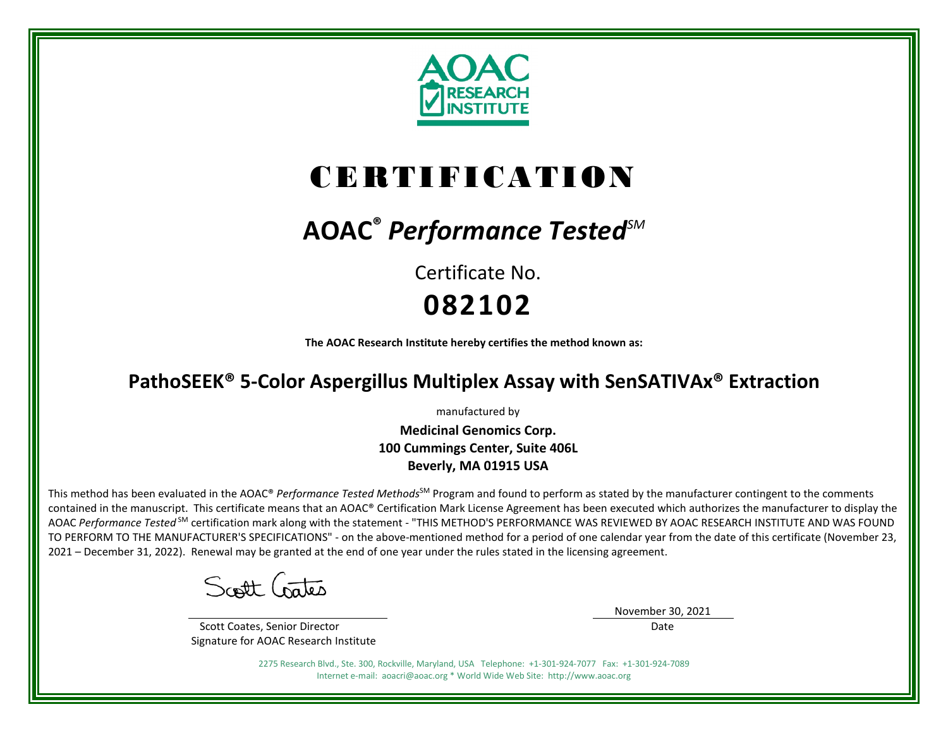

# CERTIFICATION

## **AOAC®** *Performance TestedSM*

Certificate No. **082102**

**The AOAC Research Institute hereby certifies the method known as:**

### **PathoSEEK® 5-Color Aspergillus Multiplex Assay with SenSATIVAx® Extraction**

manufactured by

**Medicinal Genomics Corp. 100 Cummings Center, Suite 406L Beverly, MA 01915 USA**

This method has been evaluated in the AOAC® *Performance Tested Methods*<sup>SM</sup> Program and found to perform as stated by the manufacturer contingent to the comments contained in the manuscript. This certificate means that an AOAC® Certification Mark License Agreement has been executed which authorizes the manufacturer to display the AOAC *Performance Tested* SM certification mark along with the statement - "THIS METHOD'S PERFORMANCE WAS REVIEWED BY AOAC RESEARCH INSTITUTE AND WAS FOUND TO PERFORM TO THE MANUFACTURER'S SPECIFICATIONS" - on the above-mentioned method for a period of one calendar year from the date of this certificate (November 23, 2021 – December 31, 2022). Renewal may be granted at the end of one year under the rules stated in the licensing agreement.

Scott Gates

 Scott Coates, Senior Director Signature for AOAC Research Institute November 30, 2021

Date

2275 Research Blvd., Ste. 300, Rockville, Maryland, USA Telephone: +1-301-924-7077 Fax: +1-301-924-7089 Internet e-mail: aoacri@aoac.org \* World Wide Web Site: http://www.aoac.org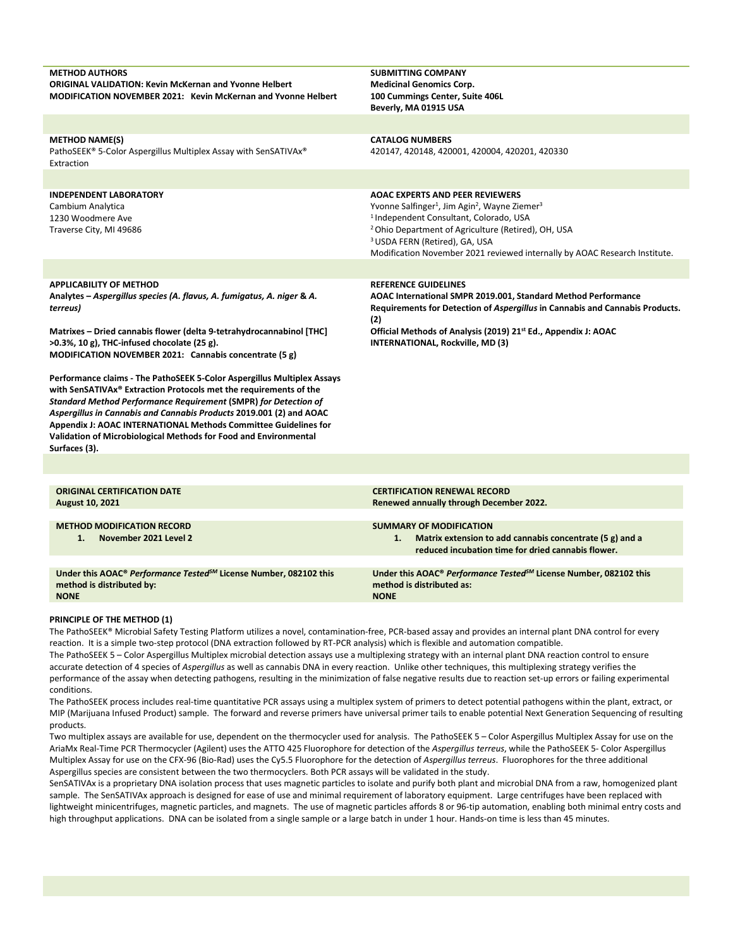| <b>METHOD AUTHORS</b><br><b>ORIGINAL VALIDATION: Kevin McKernan and Yvonne Helbert</b><br><b>MODIFICATION NOVEMBER 2021: Kevin McKernan and Yvonne Helbert</b>                                                                                                                                                                                                                                                                                                                                                                                                                                                                                                                                                                                                     | <b>SUBMITTING COMPANY</b><br><b>Medicinal Genomics Corp.</b><br>100 Cummings Center, Suite 406L<br>Beverly, MA 01915 USA                                                                                                                                                                                                                                                       |  |  |  |  |  |  |
|--------------------------------------------------------------------------------------------------------------------------------------------------------------------------------------------------------------------------------------------------------------------------------------------------------------------------------------------------------------------------------------------------------------------------------------------------------------------------------------------------------------------------------------------------------------------------------------------------------------------------------------------------------------------------------------------------------------------------------------------------------------------|--------------------------------------------------------------------------------------------------------------------------------------------------------------------------------------------------------------------------------------------------------------------------------------------------------------------------------------------------------------------------------|--|--|--|--|--|--|
|                                                                                                                                                                                                                                                                                                                                                                                                                                                                                                                                                                                                                                                                                                                                                                    |                                                                                                                                                                                                                                                                                                                                                                                |  |  |  |  |  |  |
| <b>METHOD NAME(S)</b><br>PathoSEEK® 5-Color Aspergillus Multiplex Assay with SenSATIVAx®<br>Extraction                                                                                                                                                                                                                                                                                                                                                                                                                                                                                                                                                                                                                                                             | <b>CATALOG NUMBERS</b><br>420147, 420148, 420001, 420004, 420201, 420330                                                                                                                                                                                                                                                                                                       |  |  |  |  |  |  |
|                                                                                                                                                                                                                                                                                                                                                                                                                                                                                                                                                                                                                                                                                                                                                                    |                                                                                                                                                                                                                                                                                                                                                                                |  |  |  |  |  |  |
| <b>INDEPENDENT LABORATORY</b><br>Cambium Analytica<br>1230 Woodmere Ave<br>Traverse City, MI 49686                                                                                                                                                                                                                                                                                                                                                                                                                                                                                                                                                                                                                                                                 | <b>AOAC EXPERTS AND PEER REVIEWERS</b><br>Yvonne Salfinger <sup>1</sup> , Jim Agin <sup>2</sup> , Wayne Ziemer <sup>3</sup><br><sup>1</sup> Independent Consultant, Colorado, USA<br><sup>2</sup> Ohio Department of Agriculture (Retired), OH, USA<br><sup>3</sup> USDA FERN (Retired), GA, USA<br>Modification November 2021 reviewed internally by AOAC Research Institute. |  |  |  |  |  |  |
|                                                                                                                                                                                                                                                                                                                                                                                                                                                                                                                                                                                                                                                                                                                                                                    |                                                                                                                                                                                                                                                                                                                                                                                |  |  |  |  |  |  |
| <b>APPLICABILITY OF METHOD</b><br>Analytes - Aspergillus species (A. flavus, A. fumigatus, A. niger & A.<br>terreus)<br>Matrixes – Dried cannabis flower (delta 9-tetrahydrocannabinol [THC]<br>$>0.3\%$ , 10 g), THC-infused chocolate (25 g).<br>MODIFICATION NOVEMBER 2021: Cannabis concentrate (5 g)<br>Performance claims - The PathoSEEK 5-Color Aspergillus Multiplex Assays<br>with SenSATIVAx® Extraction Protocols met the requirements of the<br><b>Standard Method Performance Requirement (SMPR) for Detection of</b><br>Aspergillus in Cannabis and Cannabis Products 2019.001 (2) and AOAC<br>Appendix J: AOAC INTERNATIONAL Methods Committee Guidelines for<br>Validation of Microbiological Methods for Food and Environmental<br>Surfaces (3). | <b>REFERENCE GUIDELINES</b><br>AOAC International SMPR 2019.001, Standard Method Performance<br>Requirements for Detection of Aspergillus in Cannabis and Cannabis Products.<br>(2)<br>Official Methods of Analysis (2019) 21 <sup>st</sup> Ed., Appendix J: AOAC<br>INTERNATIONAL, Rockville, MD (3)                                                                          |  |  |  |  |  |  |
|                                                                                                                                                                                                                                                                                                                                                                                                                                                                                                                                                                                                                                                                                                                                                                    |                                                                                                                                                                                                                                                                                                                                                                                |  |  |  |  |  |  |
| <b>ORIGINAL CERTIFICATION DATE</b><br><b>August 10, 2021</b>                                                                                                                                                                                                                                                                                                                                                                                                                                                                                                                                                                                                                                                                                                       | <b>CERTIFICATION RENEWAL RECORD</b><br>Renewed annually through December 2022.                                                                                                                                                                                                                                                                                                 |  |  |  |  |  |  |
| <b>METHOD MODIFICATION RECORD</b><br>November 2021 Level 2<br>1.                                                                                                                                                                                                                                                                                                                                                                                                                                                                                                                                                                                                                                                                                                   | <b>SUMMARY OF MODIFICATION</b><br>Matrix extension to add cannabis concentrate (5 g) and a<br>1.<br>reduced incubation time for dried cannabis flower.                                                                                                                                                                                                                         |  |  |  |  |  |  |
| Under this AOAC® Performance Tested <sup>5M</sup> License Number, 082102 this<br>method is distributed by:<br><b>NONE</b>                                                                                                                                                                                                                                                                                                                                                                                                                                                                                                                                                                                                                                          | Under this AOAC® Performance Tested <sup>5M</sup> License Number, 082102 this<br>method is distributed as:<br><b>NONE</b>                                                                                                                                                                                                                                                      |  |  |  |  |  |  |

#### **PRINCIPLE OF THE METHOD (1)**

The PathoSEEK® Microbial Safety Testing Platform utilizes a novel, contamination-free, PCR-based assay and provides an internal plant DNA control for every reaction. It is a simple two-step protocol (DNA extraction followed by RT-PCR analysis) which is flexible and automation compatible. The PathoSEEK 5 – Color Aspergillus Multiplex microbial detection assays use a multiplexing strategy with an internal plant DNA reaction control to ensure accurate detection of 4 species of *Aspergillus* as well as cannabis DNA in every reaction. Unlike other techniques, this multiplexing strategy verifies the

performance of the assay when detecting pathogens, resulting in the minimization of false negative results due to reaction set-up errors or failing experimental conditions.

The PathoSEEK process includes real-time quantitative PCR assays using a multiplex system of primers to detect potential pathogens within the plant, extract, or MIP (Marijuana Infused Product) sample. The forward and reverse primers have universal primer tails to enable potential Next Generation Sequencing of resulting products.

Two multiplex assays are available for use, dependent on the thermocycler used for analysis. The PathoSEEK 5 – Color Aspergillus Multiplex Assay for use on the AriaMx Real-Time PCR Thermocycler (Agilent) uses the ATTO 425 Fluorophore for detection of the *Aspergillus terreus*, while the PathoSEEK 5- Color Aspergillus Multiplex Assay for use on the CFX-96 (Bio-Rad) uses the Cy5.5 Fluorophore for the detection of *Aspergillus terreus*. Fluorophores for the three additional Aspergillus species are consistent between the two thermocyclers. Both PCR assays will be validated in the study.

SenSATIVAx is a proprietary DNA isolation process that uses magnetic particles to isolate and purify both plant and microbial DNA from a raw, homogenized plant sample. The SenSATIVAx approach is designed for ease of use and minimal requirement of laboratory equipment. Large centrifuges have been replaced with lightweight minicentrifuges, magnetic particles, and magnets. The use of magnetic particles affords 8 or 96-tip automation, enabling both minimal entry costs and high throughput applications. DNA can be isolated from a single sample or a large batch in under 1 hour. Hands-on time is less than 45 minutes.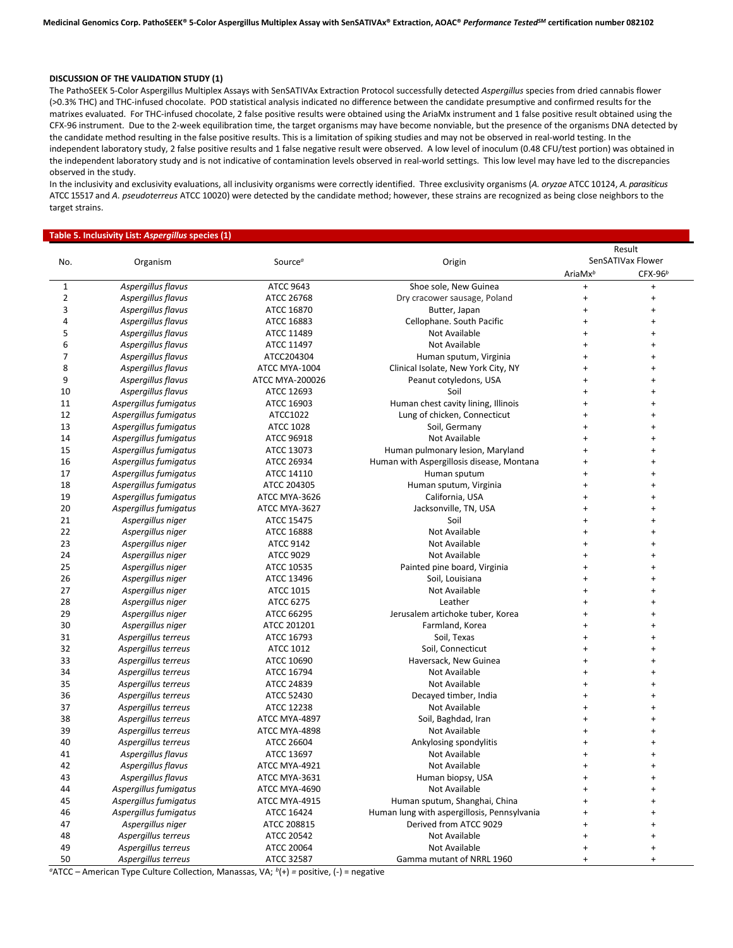#### **DISCUSSION OF THE VALIDATION STUDY (1)**

The PathoSEEK 5-Color Aspergillus Multiplex Assays with SenSATIVAx Extraction Protocol successfully detected *Aspergillus* species from dried cannabis flower (>0.3% THC) and THC-infused chocolate. POD statistical analysis indicated no difference between the candidate presumptive and confirmed results for the matrixes evaluated. For THC-infused chocolate, 2 false positive results were obtained using the AriaMx instrument and 1 false positive result obtained using the CFX-96 instrument. Due to the 2-week equilibration time, the target organisms may have become nonviable, but the presence of the organisms DNA detected by the candidate method resulting in the false positive results. This is a limitation of spiking studies and may not be observed in real-world testing. In the independent laboratory study, 2 false positive results and 1 false negative result were observed. A low level of inoculum (0.48 CFU/test portion) was obtained in the independent laboratory study and is not indicative of contamination levels observed in real-world settings. This low level may have led to the discrepancies observed in the study.

In the inclusivity and exclusivity evaluations, all inclusivity organisms were correctly identified. Three exclusivity organisms (*A. oryzae* ATCC 10124, *A. parasiticus* ATCC 15517 and *A. pseudoterreus* ATCC 10020) were detected by the candidate method; however, these strains are recognized as being close neighbors to the target strains.

#### **Table 5. Inclusivity List:** *Aspergillus* **species (1)**

| No.            |                       |                     |                                             | Result              |                                  |  |  |
|----------------|-----------------------|---------------------|---------------------------------------------|---------------------|----------------------------------|--|--|
|                | Organism              | Source <sup>a</sup> | Origin                                      | SenSATIVax Flower   |                                  |  |  |
|                |                       |                     |                                             | AriaMx <sup>b</sup> | $CFX-96b$                        |  |  |
| $\mathbf{1}$   | Aspergillus flavus    | <b>ATCC 9643</b>    | Shoe sole, New Guinea                       | $\ddot{}$           | $\ddot{}$                        |  |  |
| $\overline{2}$ | Aspergillus flavus    | ATCC 26768          | Dry cracower sausage, Poland                | $\ddot{}$           | $\begin{array}{c} + \end{array}$ |  |  |
| 3              | Aspergillus flavus    | ATCC 16870          | Butter, Japan                               | $\ddot{}$           | $\ddot{}$                        |  |  |
| 4              | Aspergillus flavus    | ATCC 16883          | Cellophane. South Pacific                   | $\ddot{}$           | $\ddot{}$                        |  |  |
| 5              | Aspergillus flavus    | ATCC 11489          | Not Available                               | $\ddot{}$           | $\begin{array}{c} + \end{array}$ |  |  |
| 6              | Aspergillus flavus    | ATCC 11497          | Not Available                               | $\ddot{}$           | $\ddot{}$                        |  |  |
| 7              | Aspergillus flavus    | ATCC204304          | Human sputum, Virginia                      | $\ddot{}$           | $\ddot{}$                        |  |  |
| 8              | Aspergillus flavus    | ATCC MYA-1004       | Clinical Isolate, New York City, NY         | $\ddot{}$           | $\ddot{}$                        |  |  |
| 9              | Aspergillus flavus    | ATCC MYA-200026     | Peanut cotyledons, USA                      | $\ddot{}$           | $\ddot{}$                        |  |  |
| 10             | Aspergillus flavus    | ATCC 12693          | Soil                                        | $\ddot{}$           | $\ddot{}$                        |  |  |
| 11             | Aspergillus fumigatus | ATCC 16903          | Human chest cavity lining, Illinois         | $\ddot{}$           | $\ddot{}$                        |  |  |
| 12             | Aspergillus fumigatus | ATCC1022            | Lung of chicken, Connecticut                | $\ddot{}$           | $\ddot{}$                        |  |  |
| 13             | Aspergillus fumigatus | <b>ATCC 1028</b>    | Soil, Germany                               | $\ddot{}$           | $\ddot{}$                        |  |  |
| 14             | Aspergillus fumigatus | ATCC 96918          | Not Available                               | $\ddot{}$           | $\ddot{}$                        |  |  |
| 15             | Aspergillus fumigatus | ATCC 13073          | Human pulmonary lesion, Maryland            | $\ddot{}$           | $\ddot{}$                        |  |  |
| 16             | Aspergillus fumigatus | ATCC 26934          | Human with Aspergillosis disease, Montana   | $\ddot{}$           | $\ddot{}$                        |  |  |
| 17             | Aspergillus fumigatus | ATCC 14110          | Human sputum                                | $\ddot{}$           | $\ddot{}$                        |  |  |
| 18             | Aspergillus fumigatus | ATCC 204305         | Human sputum, Virginia                      | $\ddot{}$           | $\ddot{}$                        |  |  |
| 19             | Aspergillus fumigatus | ATCC MYA-3626       | California, USA                             | $\ddot{}$           | $\ddot{}$                        |  |  |
| 20             | Aspergillus fumigatus | ATCC MYA-3627       | Jacksonville, TN, USA                       | $\ddot{}$           | $\ddot{}$                        |  |  |
| 21             | Aspergillus niger     | <b>ATCC 15475</b>   | Soil                                        | $\ddot{}$           | $\ddot{}$                        |  |  |
| 22             | Aspergillus niger     | ATCC 16888          | Not Available                               | $\ddot{}$           | $\begin{array}{c} + \end{array}$ |  |  |
| 23             | Aspergillus niger     | <b>ATCC 9142</b>    | Not Available                               | $\ddot{}$           | $\ddot{}$                        |  |  |
| 24             | Aspergillus niger     | <b>ATCC 9029</b>    | Not Available                               | $\ddot{}$           | $\ddot{}$                        |  |  |
| 25             | Aspergillus niger     | ATCC 10535          | Painted pine board, Virginia                | $\ddot{}$           | $\ddot{}$                        |  |  |
| 26             | Aspergillus niger     | ATCC 13496          | Soil, Louisiana                             | $\ddot{}$           | $\ddot{}$                        |  |  |
| 27             | Aspergillus niger     | ATCC 1015           | Not Available                               | $\ddot{}$           | $\ddot{}$                        |  |  |
| 28             | Aspergillus niger     | ATCC 6275           | Leather                                     | $\ddot{}$           | $\ddot{}$                        |  |  |
| 29             | Aspergillus niger     | ATCC 66295          | Jerusalem artichoke tuber, Korea            | $\ddot{}$           | $\ddot{}$                        |  |  |
| 30             | Aspergillus niger     | ATCC 201201         | Farmland, Korea                             | $\ddot{}$           | $\ddot{}$                        |  |  |
| 31             | Aspergillus terreus   | ATCC 16793          | Soil, Texas                                 | $\ddot{}$           | $\ddot{}$                        |  |  |
| 32             | Aspergillus terreus   | ATCC 1012           | Soil, Connecticut                           | $\ddot{}$           | $\ddot{}$                        |  |  |
| 33             | Aspergillus terreus   | ATCC 10690          | Haversack, New Guinea                       | $\ddot{}$           | $\ddot{}$                        |  |  |
| 34             | Aspergillus terreus   | ATCC 16794          | Not Available                               | $\ddot{}$           | $\ddot{}$                        |  |  |
| 35             | Aspergillus terreus   | ATCC 24839          | Not Available                               | $\ddot{}$           | $\ddot{}$                        |  |  |
| 36             | Aspergillus terreus   | ATCC 52430          | Decayed timber, India                       | $\ddot{}$           | $\ddot{}$                        |  |  |
| 37             | Aspergillus terreus   | ATCC 12238          | Not Available                               | $\ddot{}$           | $\ddot{}$                        |  |  |
| 38             | Aspergillus terreus   | ATCC MYA-4897       | Soil, Baghdad, Iran                         | $\ddot{}$           | $\ddot{}$                        |  |  |
| 39             | Aspergillus terreus   | ATCC MYA-4898       | Not Available                               | $\ddot{}$           | $\ddot{}$                        |  |  |
| 40             | Aspergillus terreus   | ATCC 26604          | Ankylosing spondylitis                      | $\ddot{}$           | $\ddot{}$                        |  |  |
| 41             | Aspergillus flavus    | ATCC 13697          | Not Available                               | $\ddot{}$           | $\ddot{}$                        |  |  |
| 42             | Aspergillus flavus    | ATCC MYA-4921       | Not Available                               | $\ddot{}$           | $\ddot{}$                        |  |  |
| 43             | Aspergillus flavus    | ATCC MYA-3631       | Human biopsy, USA                           | $\ddot{}$           | $\ddot{}$                        |  |  |
| 44             | Aspergillus fumigatus | ATCC MYA-4690       | Not Available                               | $\ddot{}$           | $\ddot{}$                        |  |  |
| 45             | Aspergillus fumigatus | ATCC MYA-4915       | Human sputum, Shanghai, China               | $\ddot{}$           | $\ddot{}$                        |  |  |
| 46             | Aspergillus fumigatus | ATCC 16424          | Human lung with aspergillosis, Pennsylvania | $\ddot{}$           | $\ddot{}$                        |  |  |
| 47             | Aspergillus niger     | ATCC 208815         | Derived from ATCC 9029                      | $\ddot{}$           | $\ddot{}$                        |  |  |
| 48             | Aspergillus terreus   | ATCC 20542          | Not Available                               | $\ddot{}$           | $\ddot{}$                        |  |  |
| 49             | Aspergillus terreus   | ATCC 20064          | Not Available                               | $\ddot{}$           | $\ddot{}$                        |  |  |
| 50             |                       | ATCC 32587          | Gamma mutant of NRRL 1960                   | $\ddot{}$           | $\ddot{}$                        |  |  |
|                | Aspergillus terreus   |                     |                                             |                     |                                  |  |  |

<sup>*a*</sup>ATCC – American Type Culture Collection, Manassas, VA; <sup>*b*</sup>(+) = positive, (-) = negative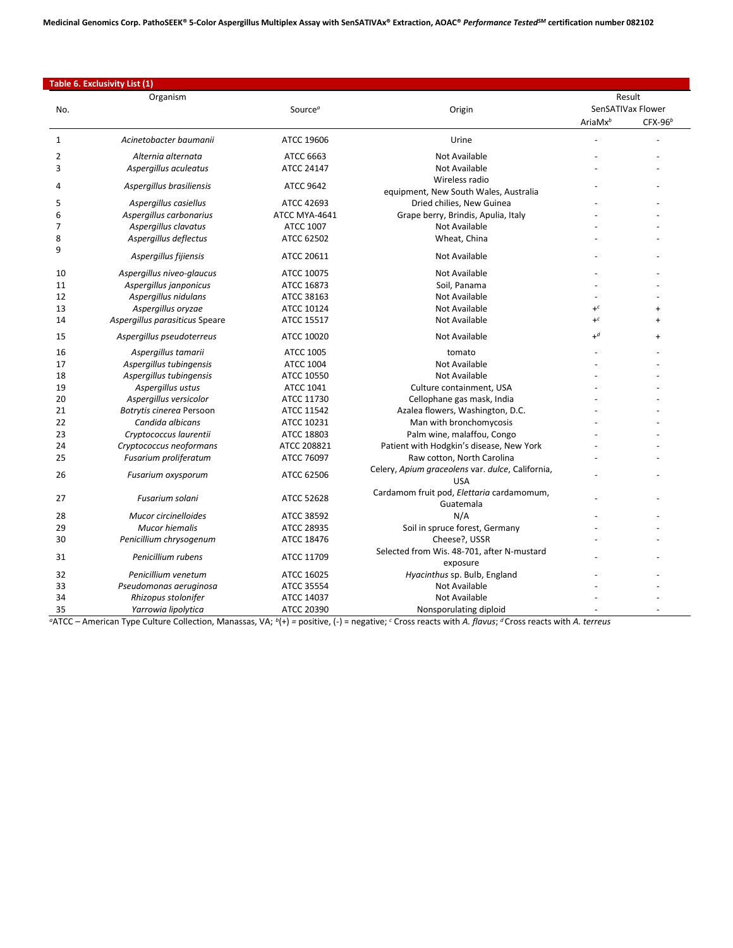**Medicinal Genomics Corp. PathoSEEK® 5-Color Aspergillus Multiplex Assay with SenSATIVAx® Extraction, AOAC®** *Performance TestedSM* **certification number 082102**

|                | Table 6. Exclusivity List (1)  |                            |                                                                    |                     |                                |
|----------------|--------------------------------|----------------------------|--------------------------------------------------------------------|---------------------|--------------------------------|
|                | Organism                       |                            |                                                                    |                     | Result                         |
| No.            |                                | Source <sup><i>a</i></sup> | Origin                                                             | AriaMx <sup>b</sup> | SenSATIVax Flower<br>$CFX-96b$ |
|                |                                |                            |                                                                    |                     |                                |
| 1              | Acinetobacter baumanii         | ATCC 19606                 | Urine                                                              |                     |                                |
| $\overline{2}$ | Alternia alternata             | ATCC 6663                  | <b>Not Available</b>                                               |                     |                                |
| 3              | Aspergillus aculeatus          | ATCC 24147                 | Not Available                                                      |                     |                                |
| 4              | Aspergillus brasiliensis       | <b>ATCC 9642</b>           | Wireless radio                                                     |                     |                                |
| 5              | Aspergillus casiellus          | ATCC 42693                 | equipment, New South Wales, Australia<br>Dried chilies, New Guinea |                     |                                |
| 6              |                                | ATCC MYA-4641              |                                                                    |                     |                                |
| 7              | Aspergillus carbonarius        |                            | Grape berry, Brindis, Apulia, Italy                                |                     |                                |
|                | Aspergillus clavatus           | <b>ATCC 1007</b>           | Not Available                                                      |                     |                                |
| 8<br>9         | Aspergillus deflectus          | ATCC 62502                 | Wheat, China                                                       |                     |                                |
|                | Aspergillus fijiensis          | ATCC 20611                 | Not Available                                                      |                     |                                |
| 10             | Aspergillus niveo-glaucus      | ATCC 10075                 | Not Available                                                      |                     |                                |
| 11             | Aspergillus janponicus         | ATCC 16873                 | Soil, Panama                                                       |                     |                                |
| 12             | Aspergillus nidulans           | ATCC 38163                 | Not Available                                                      |                     |                                |
| 13             | Aspergillus oryzae             | ATCC 10124                 | Not Available                                                      | $+^c$               | $\ddot{}$                      |
| 14             | Aspergillus parasiticus Speare | ATCC 15517                 | Not Available                                                      | $+^c$               | $\ddot{}$                      |
| 15             | Aspergillus pseudoterreus      | ATCC 10020                 | Not Available                                                      | $+d$                | $\ddot{}$                      |
| 16             | Aspergillus tamarii            | <b>ATCC 1005</b>           | tomato                                                             |                     |                                |
| 17             | Aspergillus tubingensis        | <b>ATCC 1004</b>           | Not Available                                                      |                     |                                |
| 18             | Aspergillus tubingensis        | ATCC 10550                 | <b>Not Available</b>                                               |                     |                                |
| 19             | Aspergillus ustus              | ATCC 1041                  | Culture containment, USA                                           |                     |                                |
| 20             | Aspergillus versicolor         | ATCC 11730                 | Cellophane gas mask, India                                         |                     |                                |
| 21             | Botrytis cinerea Persoon       | ATCC 11542                 | Azalea flowers, Washington, D.C.                                   |                     |                                |
| 22             | Candida albicans               | ATCC 10231                 | Man with bronchomycosis                                            |                     |                                |
| 23             | Cryptococcus laurentii         | ATCC 18803                 | Palm wine, malaffou, Congo                                         |                     |                                |
| 24             | Cryptococcus neoformans        | ATCC 208821                | Patient with Hodgkin's disease, New York                           |                     |                                |
| 25             | Fusarium proliferatum          | ATCC 76097                 | Raw cotton, North Carolina                                         |                     |                                |
|                |                                |                            | Celery, Apium graceolens var. dulce, California,                   |                     |                                |
| 26             | Fusarium oxysporum             | ATCC 62506                 | <b>USA</b>                                                         |                     |                                |
|                |                                |                            | Cardamom fruit pod, Elettaria cardamomum,                          |                     |                                |
| 27             | Fusarium solani                | <b>ATCC 52628</b>          | Guatemala                                                          |                     |                                |
| 28             | Mucor circinelloides           | ATCC 38592                 | N/A                                                                |                     |                                |
| 29             | Mucor hiemalis                 | ATCC 28935                 | Soil in spruce forest, Germany                                     |                     |                                |
| 30             | Penicillium chrysogenum        | ATCC 18476                 | Cheese?, USSR                                                      |                     |                                |
| 31             | Penicillium rubens             | ATCC 11709                 | Selected from Wis. 48-701, after N-mustard                         |                     |                                |
|                |                                |                            | exposure                                                           |                     |                                |
| 32             | Penicillium venetum            | ATCC 16025                 | Hyacinthus sp. Bulb, England                                       |                     |                                |
| 33             | Pseudomonas aeruginosa         | ATCC 35554                 | Not Available                                                      |                     |                                |
| 34             | Rhizopus stolonifer            | ATCC 14037                 | Not Available                                                      |                     |                                |
| 35             | Yarrowia lipolytica            | ATCC 20390                 | Nonsporulating diploid                                             |                     |                                |

*<sup>a</sup>*ATCC – American Type Culture Collection, Manassas, VA;*<sup>b</sup>*(+) *=* positive, (-) = negative; *<sup>c</sup>* Cross reacts with *A. flavus*; *<sup>d</sup>*Cross reacts with *A. terreus*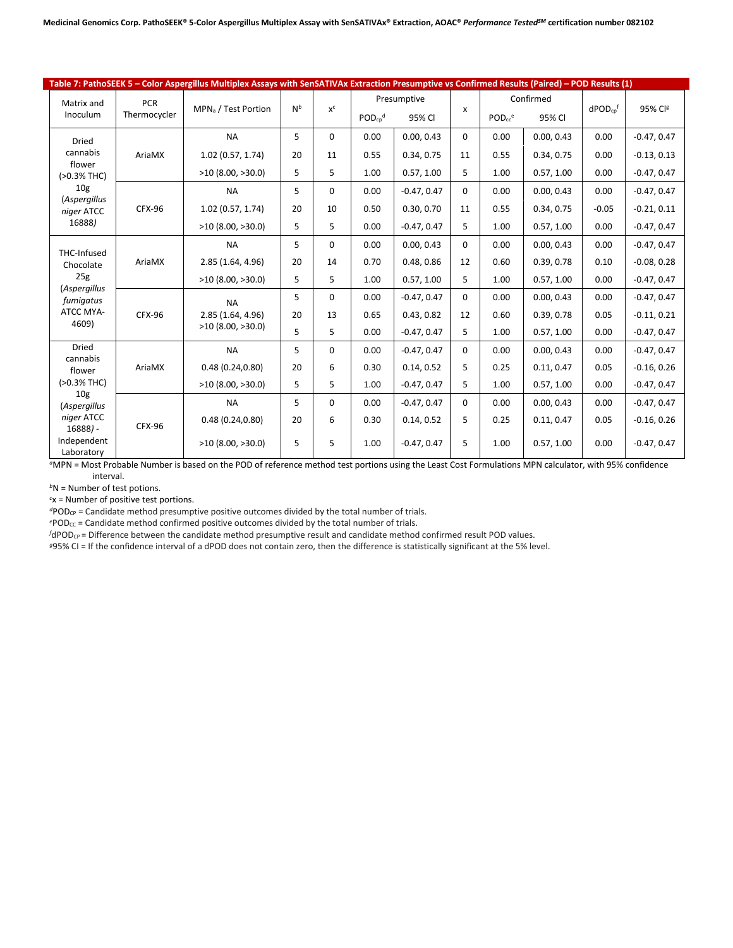|                                                                                                                   |                            | Table 7: PathoSEEK 5 - Color Aspergillus Multiplex Assays with SenSATIVAx Extraction Presumptive vs Confirmed Results (Paired) - POD Results (1) |                |       |                                         |               |          |                                                |            |                          |               |
|-------------------------------------------------------------------------------------------------------------------|----------------------------|--------------------------------------------------------------------------------------------------------------------------------------------------|----------------|-------|-----------------------------------------|---------------|----------|------------------------------------------------|------------|--------------------------|---------------|
| Matrix and<br>Inoculum                                                                                            | <b>PCR</b><br>Thermocycler | MPN <sub>a</sub> / Test Portion                                                                                                                  | N <sub>b</sub> | $x^c$ | Presumptive<br>$POD_{cp}^{d}$<br>95% CI |               | X        | Confirmed<br>$POD_{cc}$ <sup>e</sup><br>95% CI |            | $dPOD_{cp}$ <sup>f</sup> | 95% Clg       |
|                                                                                                                   |                            |                                                                                                                                                  |                |       |                                         |               |          |                                                |            |                          |               |
| Dried                                                                                                             |                            | <b>NA</b>                                                                                                                                        | 5              | 0     | 0.00                                    | 0.00.0.43     | 0        | 0.00                                           | 0.00.0.43  | 0.00                     | $-0.47, 0.47$ |
| cannabis<br>flower                                                                                                | AriaMX                     | 1.02(0.57, 1.74)                                                                                                                                 | 20             | 11    | 0.55                                    | 0.34, 0.75    | 11       | 0.55                                           | 0.34, 0.75 | 0.00                     | $-0.13, 0.13$ |
| (>0.3% THC)                                                                                                       |                            | >10(8.00, >30.0)                                                                                                                                 | 5              | 5     | 1.00                                    | 0.57, 1.00    | 5        | 1.00                                           | 0.57, 1.00 | 0.00                     | $-0.47, 0.47$ |
| 10 <sub>g</sub><br><i>(Aspergillus</i>                                                                            |                            | <b>NA</b>                                                                                                                                        | 5              | 0     | 0.00                                    | $-0.47, 0.47$ | $\Omega$ | 0.00                                           | 0.00.0.43  | 0.00                     | $-0.47, 0.47$ |
| niger ATCC                                                                                                        | <b>CFX-96</b>              | 1.02(0.57, 1.74)                                                                                                                                 | 20             | 10    | 0.50                                    | 0.30, 0.70    | 11       | 0.55                                           | 0.34, 0.75 | $-0.05$                  | $-0.21, 0.11$ |
| 16888)                                                                                                            |                            | >10(8.00, >30.0)                                                                                                                                 | 5              | 5     | 0.00                                    | $-0.47, 0.47$ | 5        | 1.00                                           | 0.57, 1.00 | 0.00                     | $-0.47, 0.47$ |
|                                                                                                                   | AriaMX                     | <b>NA</b>                                                                                                                                        | 5              | 0     | 0.00                                    | 0.00, 0.43    | 0        | 0.00                                           | 0.00, 0.43 | 0.00                     | $-0.47, 0.47$ |
| THC-Infused<br>Chocolate                                                                                          |                            | 2.85 (1.64, 4.96)                                                                                                                                | 20             | 14    | 0.70                                    | 0.48, 0.86    | 12       | 0.60                                           | 0.39, 0.78 | 0.10                     | $-0.08, 0.28$ |
| 25g<br>(Aspergillus<br>fumigatus<br>ATCC MYA-<br>4609)                                                            |                            | >10(8.00, >30.0)                                                                                                                                 | 5              | 5     | 1.00                                    | 0.57, 1.00    | 5        | 1.00                                           | 0.57, 1.00 | 0.00                     | $-0.47, 0.47$ |
|                                                                                                                   | <b>CFX-96</b>              | <b>NA</b>                                                                                                                                        | 5              | 0     | 0.00                                    | $-0.47, 0.47$ | $\Omega$ | 0.00                                           | 0.00, 0.43 | 0.00                     | $-0.47, 0.47$ |
|                                                                                                                   |                            | 2.85 (1.64, 4.96)                                                                                                                                | 20             | 13    | 0.65                                    | 0.43, 0.82    | 12       | 0.60                                           | 0.39, 0.78 | 0.05                     | $-0.11, 0.21$ |
|                                                                                                                   |                            | $>10$ (8.00, $>30.0$ )                                                                                                                           | 5              | 5     | 0.00                                    | $-0.47, 0.47$ | 5        | 1.00                                           | 0.57, 1.00 | 0.00                     | $-0.47, 0.47$ |
| <b>Dried</b>                                                                                                      |                            | <b>NA</b>                                                                                                                                        | 5              | 0     | 0.00                                    | $-0.47, 0.47$ | $\Omega$ | 0.00                                           | 0.00, 0.43 | 0.00                     | $-0.47, 0.47$ |
| cannabis<br>flower                                                                                                | AriaMX                     | 0.48(0.24, 0.80)                                                                                                                                 | 20             | 6     | 0.30                                    | 0.14, 0.52    | 5        | 0.25                                           | 0.11, 0.47 | 0.05                     | $-0.16, 0.26$ |
| $(>0.3%$ THC)<br>10 <sub>g</sub><br><i>(Aspergillus</i><br>niger ATCC<br>$16888$ ) -<br>Independent<br>Laboratory |                            | $>10$ (8.00, $>30.0$ )                                                                                                                           | 5              | 5     | 1.00                                    | $-0.47, 0.47$ | 5        | 1.00                                           | 0.57, 1.00 | 0.00                     | $-0.47, 0.47$ |
|                                                                                                                   | <b>CFX-96</b>              | <b>NA</b>                                                                                                                                        | 5              | 0     | 0.00                                    | $-0.47, 0.47$ | 0        | 0.00                                           | 0.00.0.43  | 0.00                     | $-0.47, 0.47$ |
|                                                                                                                   |                            | 0.48(0.24, 0.80)                                                                                                                                 | 20             | 6     | 0.30                                    | 0.14, 0.52    | 5        | 0.25                                           | 0.11, 0.47 | 0.05                     | $-0.16, 0.26$ |
|                                                                                                                   |                            | >10(8.00, >30.0)                                                                                                                                 | 5              | 5     | 1.00                                    | $-0.47, 0.47$ | 5        | 1.00                                           | 0.57, 1.00 | 0.00                     | $-0.47, 0.47$ |

*<sup>a</sup>*MPN = Most Probable Number is based on the POD of reference method test portions using the Least Cost Formulations MPN calculator, with 95% confidence interval.

*<sup>b</sup>*N = Number of test potions.

*c* x = Number of positive test portions.

*<sup>d</sup>*PODCP = Candidate method presumptive positive outcomes divided by the total number of trials.

*e* POD<sub>cc</sub> = Candidate method confirmed positive outcomes divided by the total number of trials.

*f* dPOD<sub>CP</sub> = Difference between the candidate method presumptive result and candidate method confirmed result POD values.

*g*95% CI = If the confidence interval of a dPOD does not contain zero, then the difference is statistically significant at the 5% level.